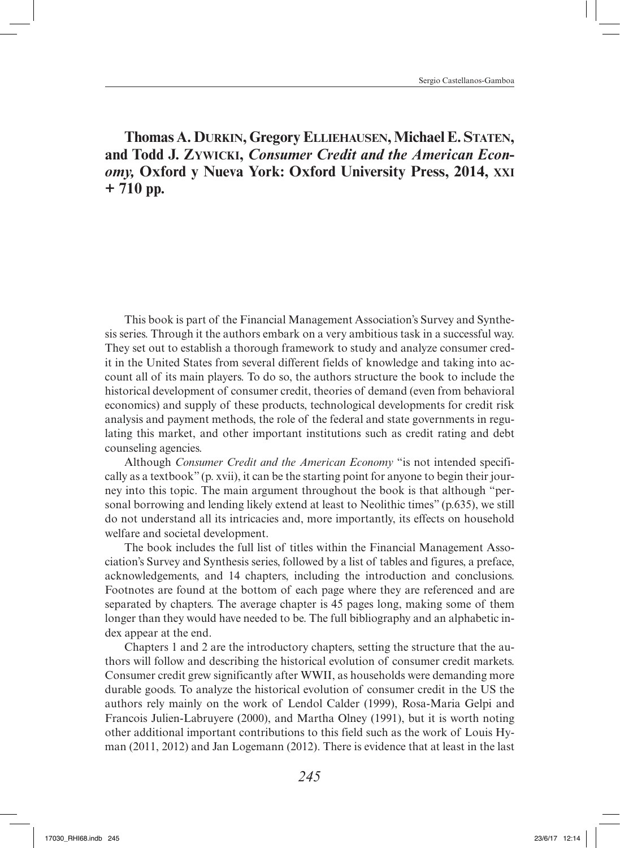## **Thomas A. Durkin, Gregory Elliehausen, Michael E. Staten, and Todd J. Zywicki,** *Consumer Credit and the American Economy,* **Oxford y Nueva York: Oxford University Press, 2014, xxi + 710 pp.**

This book is part of the Financial Management Association's Survey and Synthesis series. Through it the authors embark on a very ambitious task in a successful way. They set out to establish a thorough framework to study and analyze consumer credit in the United States from several different fields of knowledge and taking into account all of its main players. To do so, the authors structure the book to include the historical development of consumer credit, theories of demand (even from behavioral economics) and supply of these products, technological developments for credit risk analysis and payment methods, the role of the federal and state governments in regulating this market, and other important institutions such as credit rating and debt counseling agencies.

Although *Consumer Credit and the American Economy* "is not intended specifically as a textbook" (p. xvii), it can be the starting point for anyone to begin their journey into this topic. The main argument throughout the book is that although "personal borrowing and lending likely extend at least to Neolithic times" (p.635), we still do not understand all its intricacies and, more importantly, its effects on household welfare and societal development.

The book includes the full list of titles within the Financial Management Association's Survey and Synthesis series, followed by a list of tables and figures, a preface, acknowledgements, and 14 chapters, including the introduction and conclusions. Footnotes are found at the bottom of each page where they are referenced and are separated by chapters. The average chapter is 45 pages long, making some of them longer than they would have needed to be. The full bibliography and an alphabetic index appear at the end.

Chapters 1 and 2 are the introductory chapters, setting the structure that the authors will follow and describing the historical evolution of consumer credit markets. Consumer credit grew significantly after WWII, as households were demanding more durable goods. To analyze the historical evolution of consumer credit in the US the authors rely mainly on the work of Lendol Calder (1999), Rosa-Maria Gelpi and Francois Julien-Labruyere (2000), and Martha Olney (1991), but it is worth noting other additional important contributions to this field such as the work of Louis Hyman (2011, 2012) and Jan Logemann (2012). There is evidence that at least in the last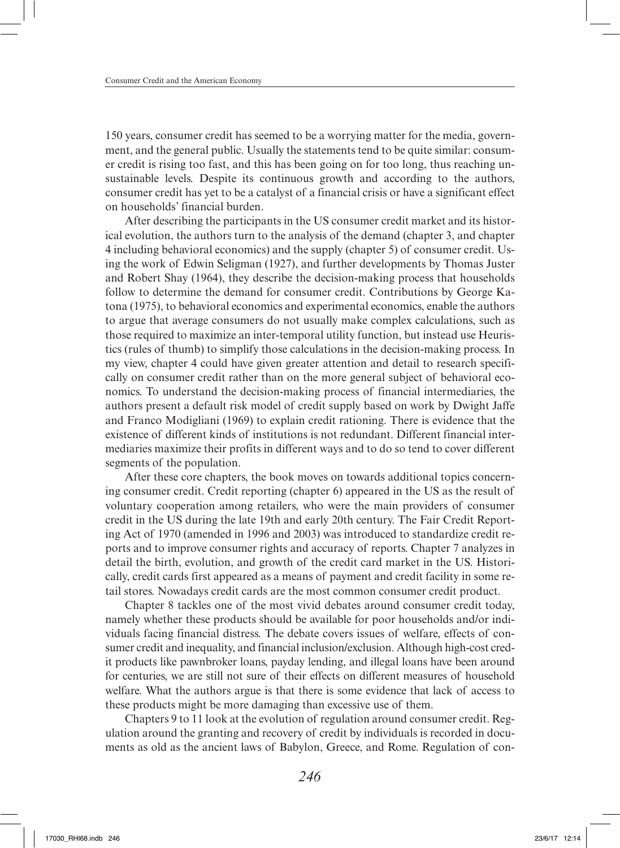150 years, consumer credit has seemed to be a worrying matter for the media, government, and the general public. Usually the statements tend to be quite similar: consumer credit is rising too fast, and this has been going on for too long, thus reaching unsustainable levels. Despite its continuous growth and according to the authors, consumer credit has yet to be a catalyst of a financial crisis or have a significant effect on households' financial burden.

After describing the participants in the US consumer credit market and its historical evolution, the authors turn to the analysis of the demand (chapter 3, and chapter 4 including behavioral economics) and the supply (chapter 5) of consumer credit. Using the work of Edwin Seligman (1927), and further developments by Thomas Juster and Robert Shay (1964), they describe the decision-making process that households follow to determine the demand for consumer credit. Contributions by George Katona (1975), to behavioral economics and experimental economics, enable the authors to argue that average consumers do not usually make complex calculations, such as those required to maximize an inter-temporal utility function, but instead use Heuristics (rules of thumb) to simplify those calculations in the decision-making process. In my view, chapter 4 could have given greater attention and detail to research specifically on consumer credit rather than on the more general subject of behavioral economics. To understand the decision-making process of financial intermediaries, the authors present a default risk model of credit supply based on work by Dwight Jaffe and Franco Modigliani (1969) to explain credit rationing. There is evidence that the existence of different kinds of institutions is not redundant. Different financial intermediaries maximize their profits in different ways and to do so tend to cover different segments of the population.

After these core chapters, the book moves on towards additional topics concerning consumer credit. Credit reporting (chapter 6) appeared in the US as the result of voluntary cooperation among retailers, who were the main providers of consumer credit in the US during the late 19th and early 20th century. The Fair Credit Reporting Act of 1970 (amended in 1996 and 2003) was introduced to standardize credit reports and to improve consumer rights and accuracy of reports. Chapter 7 analyzes in detail the birth, evolution, and growth of the credit card market in the US. Historically, credit cards first appeared as a means of payment and credit facility in some retail stores. Nowadays credit cards are the most common consumer credit product.

Chapter 8 tackles one of the most vivid debates around consumer credit today, namely whether these products should be available for poor households and/or individuals facing financial distress. The debate covers issues of welfare, effects of consumer credit and inequality, and financial inclusion/exclusion. Although high-cost credit products like pawnbroker loans, payday lending, and illegal loans have been around for centuries, we are still not sure of their effects on different measures of household welfare. What the authors argue is that there is some evidence that lack of access to these products might be more damaging than excessive use of them.

Chapters 9 to 11 look at the evolution of regulation around consumer credit. Regulation around the granting and recovery of credit by individuals is recorded in documents as old as the ancient laws of Babylon, Greece, and Rome. Regulation of con